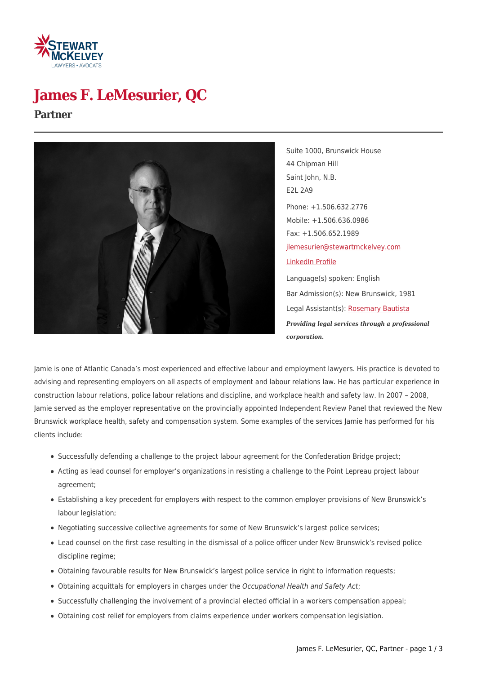

## **James F. LeMesurier, QC**

#### **Partner**



Suite 1000, Brunswick House 44 Chipman Hill Saint John, N.B. E2L 2A9 Phone: +1.506.632.2776 Mobile: +1.506.636.0986 Fax: +1.506.652.1989 [jlemesurier@stewartmckelvey.com](mailto:jlemesurier@stewartmckelvey.com) [LinkedIn Profile](http://ca.linkedin.com/pub/james-lemesurier/19/765/325) Language(s) spoken: English Bar Admission(s): New Brunswick, 1981 Legal Assistant(s): [Rosemary Bautista](https://www.stewartmckelvey.com/legal_assistant/bautista-rosemary)

*Providing legal services through a professional*

*corporation.*

Jamie is one of Atlantic Canada's most experienced and effective labour and employment lawyers. His practice is devoted to advising and representing employers on all aspects of employment and labour relations law. He has particular experience in construction labour relations, police labour relations and discipline, and workplace health and safety law. In 2007 – 2008, Jamie served as the employer representative on the provincially appointed Independent Review Panel that reviewed the New Brunswick workplace health, safety and compensation system. Some examples of the services Jamie has performed for his clients include:

- Successfully defending a challenge to the project labour agreement for the Confederation Bridge project;
- Acting as lead counsel for employer's organizations in resisting a challenge to the Point Lepreau project labour agreement;
- Establishing a key precedent for employers with respect to the common employer provisions of New Brunswick's labour legislation;
- Negotiating successive collective agreements for some of New Brunswick's largest police services;
- Lead counsel on the first case resulting in the dismissal of a police officer under New Brunswick's revised police discipline regime;
- Obtaining favourable results for New Brunswick's largest police service in right to information requests;
- Obtaining acquittals for employers in charges under the Occupational Health and Safety Act;
- Successfully challenging the involvement of a provincial elected official in a workers compensation appeal;
- Obtaining cost relief for employers from claims experience under workers compensation legislation.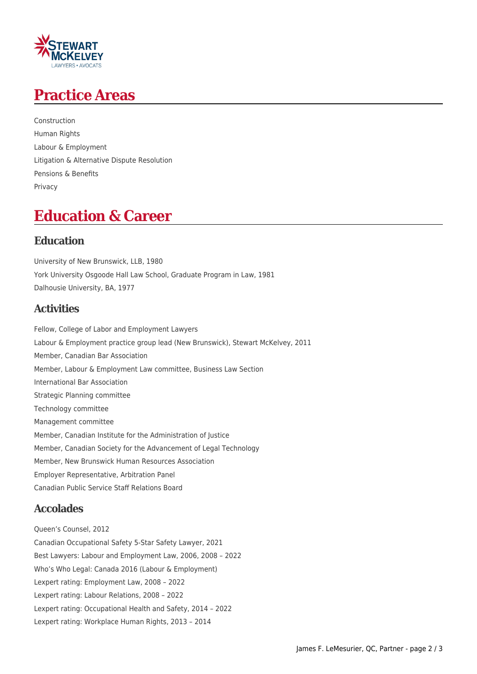

## **Practice Areas**

Construction Human Rights Labour & Employment Litigation & Alternative Dispute Resolution Pensions & Benefits Privacy

## **Education & Career**

#### **Education**

University of New Brunswick, LLB, 1980 York University Osgoode Hall Law School, Graduate Program in Law, 1981 Dalhousie University, BA, 1977

#### **Activities**

Fellow, College of Labor and Employment Lawyers Labour & Employment practice group lead (New Brunswick), Stewart McKelvey, 2011 Member, Canadian Bar Association Member, Labour & Employment Law committee, Business Law Section International Bar Association Strategic Planning committee Technology committee Management committee Member, Canadian Institute for the Administration of Justice Member, Canadian Society for the Advancement of Legal Technology Member, New Brunswick Human Resources Association Employer Representative, Arbitration Panel Canadian Public Service Staff Relations Board

#### **Accolades**

Queen's Counsel, 2012 Canadian Occupational Safety 5-Star Safety Lawyer, 2021 Best Lawyers: Labour and Employment Law, 2006, 2008 – 2022 Who's Who Legal: Canada 2016 (Labour & Employment) Lexpert rating: Employment Law, 2008 – 2022 Lexpert rating: Labour Relations, 2008 – 2022 Lexpert rating: Occupational Health and Safety, 2014 – 2022 Lexpert rating: Workplace Human Rights, 2013 – 2014